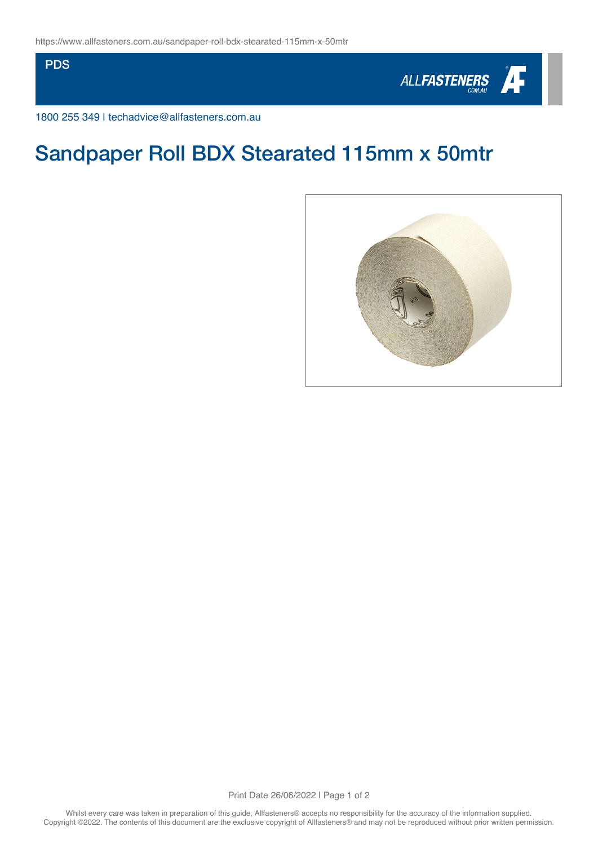**PDS** 



1800 255 349 | techadvice@allfasteners.com.au

## Sandpaper Roll BDX Stearated 115mm x 50mtr



Print Date 26/06/2022 | Page 1 of 2